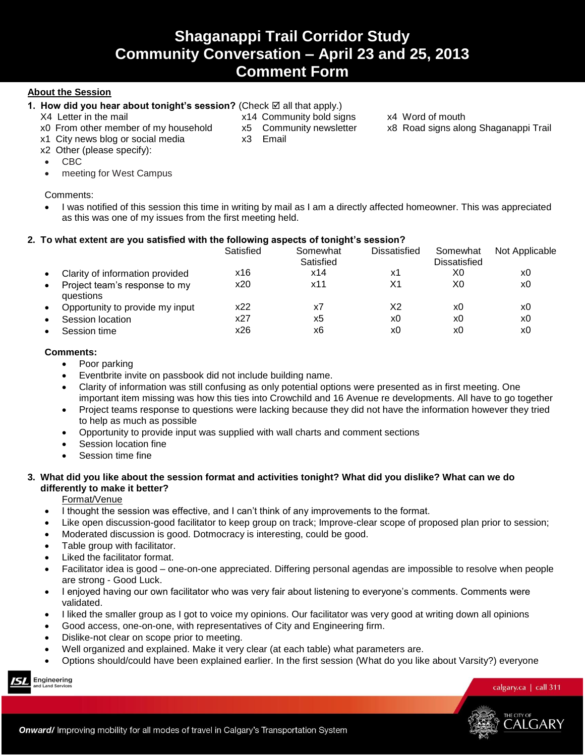# **About the Session**

# 1. How did you hear about tonight's session? (Check  $\boxtimes$  all that apply.)

- X4 Letter in the mail **X14 Community bold signs** x4 Word of mouth
- 
- 
- 
- 
- 
- x0 From other member of my household x5 Community newsletter x8 Road signs along Shaganappi Trail
- x1 City news blog or social media x3 Email
- x2 Other (please specify):
- CBC
- meeting for West Campus

# Comments:

• I was notified of this session this time in writing by mail as I am a directly affected homeowner. This was appreciated as this was one of my issues from the first meeting held.

# **2. To what extent are you satisfied with the following aspects of tonight's session?**

|                                            | Satisfied | Somewhat<br>Satisfied | Dissatisfied | Somewhat<br><b>Dissatisfied</b> | Not Applicable |
|--------------------------------------------|-----------|-----------------------|--------------|---------------------------------|----------------|
| Clarity of information provided            | x16       | x14                   | х1           | X0                              | x0             |
| Project team's response to my<br>questions | x20       | x11                   | X1           | X0                              | x0             |
| Opportunity to provide my input            | x22       | x7                    | X2           | x0                              | x0             |
| Session location                           | x27       | x5                    | x0           | x0                              | x0             |
| Session time                               | x26       | х6                    | x0           | x0                              | x0             |

# **Comments:**

- Poor parking
- Eventbrite invite on passbook did not include building name.
- Clarity of information was still confusing as only potential options were presented as in first meeting. One important item missing was how this ties into Crowchild and 16 Avenue re developments. All have to go together
- Project teams response to questions were lacking because they did not have the information however they tried to help as much as possible
- Opportunity to provide input was supplied with wall charts and comment sections
- Session location fine
- Session time fine

# **3. What did you like about the session format and activities tonight? What did you dislike? What can we do differently to make it better?**

Format/Venue

- I thought the session was effective, and I can't think of any improvements to the format.
- Like open discussion-good facilitator to keep group on track; Improve-clear scope of proposed plan prior to session;
- Moderated discussion is good. Dotmocracy is interesting, could be good.
- Table group with facilitator.
- Liked the facilitator format.
- Facilitator idea is good one-on-one appreciated. Differing personal agendas are impossible to resolve when people are strong - Good Luck.
- I enjoyed having our own facilitator who was very fair about listening to everyone's comments. Comments were validated.
- I liked the smaller group as I got to voice my opinions. Our facilitator was very good at writing down all opinions
- Good access, one-on-one, with representatives of City and Engineering firm.
- Dislike-not clear on scope prior to meeting.
- Well organized and explained. Make it very clear (at each table) what parameters are.
- Options should/could have been explained earlier. In the first session (What do you like about Varsity?) everyone

Engineering

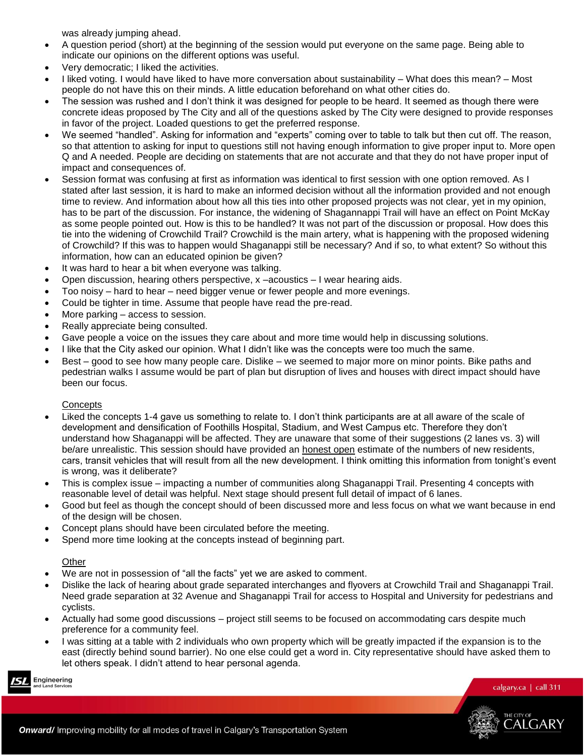was already jumping ahead.

- A question period (short) at the beginning of the session would put everyone on the same page. Being able to indicate our opinions on the different options was useful.
- Very democratic; I liked the activities.
- I liked voting. I would have liked to have more conversation about sustainability What does this mean? Most people do not have this on their minds. A little education beforehand on what other cities do.
- The session was rushed and I don't think it was designed for people to be heard. It seemed as though there were concrete ideas proposed by The City and all of the questions asked by The City were designed to provide responses in favor of the project. Loaded questions to get the preferred response.
- We seemed "handled". Asking for information and "experts" coming over to table to talk but then cut off. The reason, so that attention to asking for input to questions still not having enough information to give proper input to. More open Q and A needed. People are deciding on statements that are not accurate and that they do not have proper input of impact and consequences of.
- Session format was confusing at first as information was identical to first session with one option removed. As I stated after last session, it is hard to make an informed decision without all the information provided and not enough time to review. And information about how all this ties into other proposed projects was not clear, yet in my opinion, has to be part of the discussion. For instance, the widening of Shagannappi Trail will have an effect on Point McKay as some people pointed out. How is this to be handled? It was not part of the discussion or proposal. How does this tie into the widening of Crowchild Trail? Crowchild is the main artery, what is happening with the proposed widening of Crowchild? If this was to happen would Shaganappi still be necessary? And if so, to what extent? So without this information, how can an educated opinion be given?
- It was hard to hear a bit when everyone was talking.
- Open discussion, hearing others perspective, x –acoustics I wear hearing aids.
- Too noisy hard to hear need bigger venue or fewer people and more evenings.
- Could be tighter in time. Assume that people have read the pre-read.
- More parking access to session.
- Really appreciate being consulted.
- Gave people a voice on the issues they care about and more time would help in discussing solutions.
- I like that the City asked our opinion. What I didn't like was the concepts were too much the same.
- Best good to see how many people care. Dislike we seemed to major more on minor points. Bike paths and pedestrian walks I assume would be part of plan but disruption of lives and houses with direct impact should have been our focus.

# **Concepts**

- Liked the concepts 1-4 gave us something to relate to. I don't think participants are at all aware of the scale of development and densification of Foothills Hospital, Stadium, and West Campus etc. Therefore they don't understand how Shaganappi will be affected. They are unaware that some of their suggestions (2 lanes vs. 3) will be/are unrealistic. This session should have provided an honest open estimate of the numbers of new residents, cars, transit vehicles that will result from all the new development. I think omitting this information from tonight's event is wrong, was it deliberate?
- This is complex issue impacting a number of communities along Shaganappi Trail. Presenting 4 concepts with reasonable level of detail was helpful. Next stage should present full detail of impact of 6 lanes.
- Good but feel as though the concept should of been discussed more and less focus on what we want because in end of the design will be chosen.
- Concept plans should have been circulated before the meeting.
- Spend more time looking at the concepts instead of beginning part.

### Other

- We are not in possession of "all the facts" yet we are asked to comment.
- Dislike the lack of hearing about grade separated interchanges and flyovers at Crowchild Trail and Shaganappi Trail. Need grade separation at 32 Avenue and Shaganappi Trail for access to Hospital and University for pedestrians and cyclists.
- Actually had some good discussions project still seems to be focused on accommodating cars despite much preference for a community feel.
- I was sitting at a table with 2 individuals who own property which will be greatly impacted if the expansion is to the east (directly behind sound barrier). No one else could get a word in. City representative should have asked them to let others speak. I didn't attend to hear personal agenda.

Engineering

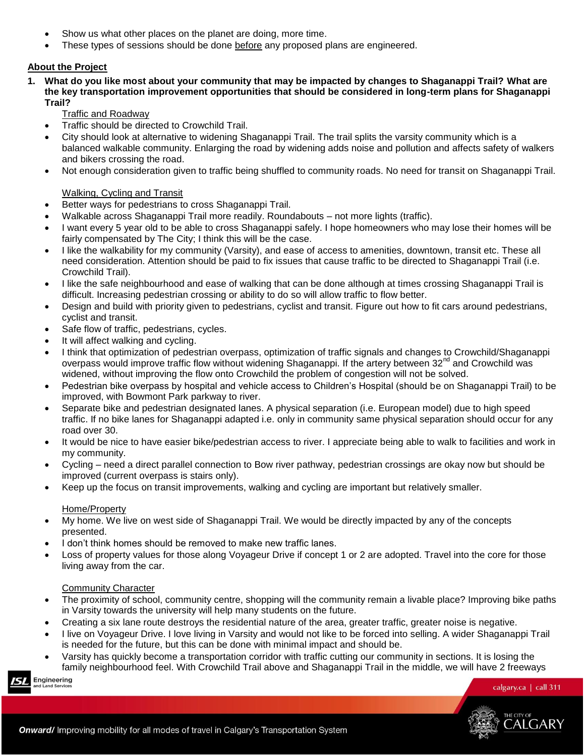- Show us what other places on the planet are doing, more time.
- These types of sessions should be done before any proposed plans are engineered.

# **About the Project**

**1. What do you like most about your community that may be impacted by changes to Shaganappi Trail? What are the key transportation improvement opportunities that should be considered in long-term plans for Shaganappi Trail?**

Traffic and Roadway

- Traffic should be directed to Crowchild Trail.
- City should look at alternative to widening Shaganappi Trail. The trail splits the varsity community which is a balanced walkable community. Enlarging the road by widening adds noise and pollution and affects safety of walkers and bikers crossing the road.
- Not enough consideration given to traffic being shuffled to community roads. No need for transit on Shaganappi Trail.

### Walking, Cycling and Transit

- Better ways for pedestrians to cross Shaganappi Trail.
- Walkable across Shaganappi Trail more readily. Roundabouts not more lights (traffic).
- I want every 5 year old to be able to cross Shaganappi safely. I hope homeowners who may lose their homes will be fairly compensated by The City; I think this will be the case.
- I like the walkability for my community (Varsity), and ease of access to amenities, downtown, transit etc. These all need consideration. Attention should be paid to fix issues that cause traffic to be directed to Shaganappi Trail (i.e. Crowchild Trail).
- I like the safe neighbourhood and ease of walking that can be done although at times crossing Shaganappi Trail is difficult. Increasing pedestrian crossing or ability to do so will allow traffic to flow better.
- Design and build with priority given to pedestrians, cyclist and transit. Figure out how to fit cars around pedestrians, cyclist and transit.
- Safe flow of traffic, pedestrians, cycles.
- It will affect walking and cycling.
- I think that optimization of pedestrian overpass, optimization of traffic signals and changes to Crowchild/Shaganappi overpass would improve traffic flow without widening Shaganappi. If the artery between 32<sup>nd</sup> and Crowchild was widened, without improving the flow onto Crowchild the problem of congestion will not be solved.
- Pedestrian bike overpass by hospital and vehicle access to Children's Hospital (should be on Shaganappi Trail) to be improved, with Bowmont Park parkway to river.
- Separate bike and pedestrian designated lanes. A physical separation (i.e. European model) due to high speed traffic. If no bike lanes for Shaganappi adapted i.e. only in community same physical separation should occur for any road over 30.
- It would be nice to have easier bike/pedestrian access to river. I appreciate being able to walk to facilities and work in my community.
- Cycling need a direct parallel connection to Bow river pathway, pedestrian crossings are okay now but should be improved (current overpass is stairs only).
- Keep up the focus on transit improvements, walking and cycling are important but relatively smaller.

# Home/Property

- My home. We live on west side of Shaganappi Trail. We would be directly impacted by any of the concepts presented.
- I don't think homes should be removed to make new traffic lanes.
- Loss of property values for those along Voyageur Drive if concept 1 or 2 are adopted. Travel into the core for those living away from the car.

### Community Character

- The proximity of school, community centre, shopping will the community remain a livable place? Improving bike paths in Varsity towards the university will help many students on the future.
- Creating a six lane route destroys the residential nature of the area, greater traffic, greater noise is negative.
- I live on Voyageur Drive. I love living in Varsity and would not like to be forced into selling. A wider Shaganappi Trail is needed for the future, but this can be done with minimal impact and should be.
- Varsity has quickly become a transportation corridor with traffic cutting our community in sections. It is losing the family neighbourhood feel. With Crowchild Trail above and Shaganappi Trail in the middle, we will have 2 freeways

Engineering

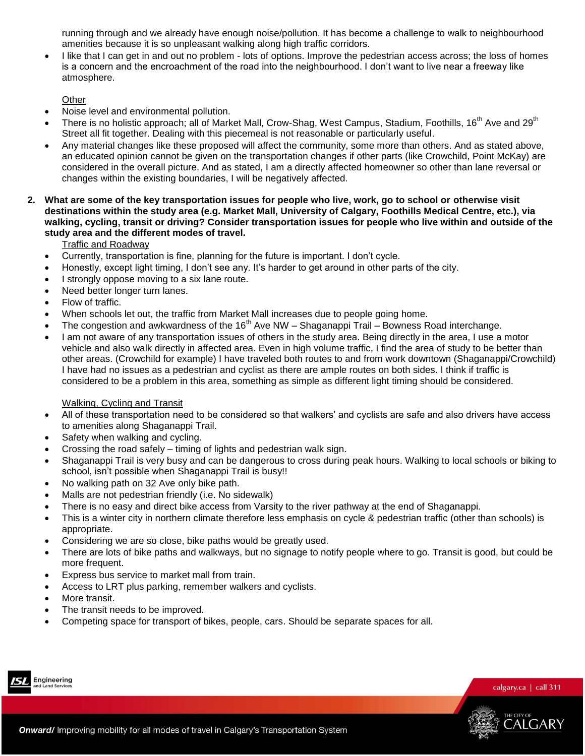running through and we already have enough noise/pollution. It has become a challenge to walk to neighbourhood amenities because it is so unpleasant walking along high traffic corridors.

• I like that I can get in and out no problem - lots of options. Improve the pedestrian access across; the loss of homes is a concern and the encroachment of the road into the neighbourhood. I don't want to live near a freeway like atmosphere.

Other

- Noise level and environmental pollution.
- There is no holistic approach; all of Market Mall, Crow-Shag, West Campus, Stadium, Foothills, 16<sup>th</sup> Ave and 29<sup>th</sup> Street all fit together. Dealing with this piecemeal is not reasonable or particularly useful.
- Any material changes like these proposed will affect the community, some more than others. And as stated above, an educated opinion cannot be given on the transportation changes if other parts (like Crowchild, Point McKay) are considered in the overall picture. And as stated, I am a directly affected homeowner so other than lane reversal or changes within the existing boundaries, I will be negatively affected.
- **2. What are some of the key transportation issues for people who live, work, go to school or otherwise visit destinations within the study area (e.g. Market Mall, University of Calgary, Foothills Medical Centre, etc.), via walking, cycling, transit or driving? Consider transportation issues for people who live within and outside of the study area and the different modes of travel.**

Traffic and Roadway

- Currently, transportation is fine, planning for the future is important. I don't cycle.
- Honestly, except light timing, I don't see any. It's harder to get around in other parts of the city.
- I strongly oppose moving to a six lane route.
- Need better longer turn lanes.
- Flow of traffic.
- When schools let out, the traffic from Market Mall increases due to people going home.
- The congestion and awkwardness of the  $16<sup>th</sup>$  Ave NW Shaganappi Trail Bowness Road interchange.
- I am not aware of any transportation issues of others in the study area. Being directly in the area, I use a motor vehicle and also walk directly in affected area. Even in high volume traffic, I find the area of study to be better than other areas. (Crowchild for example) I have traveled both routes to and from work downtown (Shaganappi/Crowchild) I have had no issues as a pedestrian and cyclist as there are ample routes on both sides. I think if traffic is considered to be a problem in this area, something as simple as different light timing should be considered.

# Walking, Cycling and Transit

- All of these transportation need to be considered so that walkers' and cyclists are safe and also drivers have access to amenities along Shaganappi Trail.
- Safety when walking and cycling.
- Crossing the road safely timing of lights and pedestrian walk sign.
- Shaganappi Trail is very busy and can be dangerous to cross during peak hours. Walking to local schools or biking to school, isn't possible when Shaganappi Trail is busy!!
- No walking path on 32 Ave only bike path.
- Malls are not pedestrian friendly (i.e. No sidewalk)
- There is no easy and direct bike access from Varsity to the river pathway at the end of Shaganappi.
- This is a winter city in northern climate therefore less emphasis on cycle & pedestrian traffic (other than schools) is appropriate.
- Considering we are so close, bike paths would be greatly used.
- There are lots of bike paths and walkways, but no signage to notify people where to go. Transit is good, but could be more frequent.
- Express bus service to market mall from train.
- Access to LRT plus parking, remember walkers and cyclists.
- More transit.
- The transit needs to be improved.
- Competing space for transport of bikes, people, cars. Should be separate spaces for all.



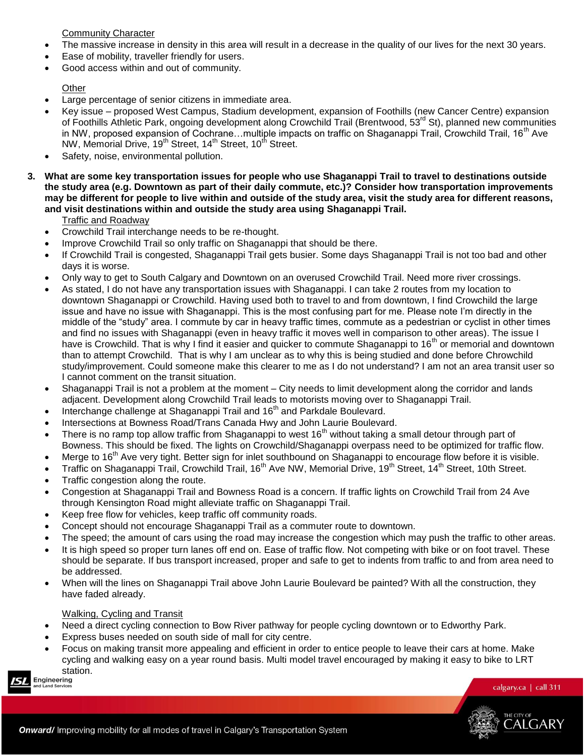Community Character

- The massive increase in density in this area will result in a decrease in the quality of our lives for the next 30 years.
- Ease of mobility, traveller friendly for users.
- Good access within and out of community.

# **Other**

- Large percentage of senior citizens in immediate area.
- Key issue proposed West Campus, Stadium development, expansion of Foothills (new Cancer Centre) expansion of Foothills Athletic Park, ongoing development along Crowchild Trail (Brentwood, 53<sup>rd</sup> St), planned new communities in NW, proposed expansion of Cochrane...multiple impacts on traffic on Shaganappi Trail, Crowchild Trail, 16<sup>th</sup> Ave NW, Memorial Drive, 19<sup>th</sup> Street, 14<sup>th</sup> Street, 10<sup>th</sup> Street.
- Safety, noise, environmental pollution.
- **3. What are some key transportation issues for people who use Shaganappi Trail to travel to destinations outside the study area (e.g. Downtown as part of their daily commute, etc.)? Consider how transportation improvements may be different for people to live within and outside of the study area, visit the study area for different reasons, and visit destinations within and outside the study area using Shaganappi Trail.**

# Traffic and Roadway

- Crowchild Trail interchange needs to be re-thought.
- Improve Crowchild Trail so only traffic on Shaganappi that should be there.
- If Crowchild Trail is congested, Shaganappi Trail gets busier. Some days Shaganappi Trail is not too bad and other days it is worse.
- Only way to get to South Calgary and Downtown on an overused Crowchild Trail. Need more river crossings.
- As stated, I do not have any transportation issues with Shaganappi. I can take 2 routes from my location to downtown Shaganappi or Crowchild. Having used both to travel to and from downtown, I find Crowchild the large issue and have no issue with Shaganappi. This is the most confusing part for me. Please note I'm directly in the middle of the "study" area. I commute by car in heavy traffic times, commute as a pedestrian or cyclist in other times and find no issues with Shaganappi (even in heavy traffic it moves well in comparison to other areas). The issue I have is Crowchild. That is why I find it easier and quicker to commute Shaganappi to 16<sup>th</sup> or memorial and downtown than to attempt Crowchild. That is why I am unclear as to why this is being studied and done before Chrowchild study/improvement. Could someone make this clearer to me as I do not understand? I am not an area transit user so I cannot comment on the transit situation.
- Shaganappi Trail is not a problem at the moment City needs to limit development along the corridor and lands adjacent. Development along Crowchild Trail leads to motorists moving over to Shaganappi Trail.
- Interchange challenge at Shaganappi Trail and  $16<sup>th</sup>$  and Parkdale Boulevard.
- Intersections at Bowness Road/Trans Canada Hwy and John Laurie Boulevard.
- There is no ramp top allow traffic from Shaganappi to west  $16<sup>th</sup>$  without taking a small detour through part of Bowness. This should be fixed. The lights on Crowchild/Shaganappi overpass need to be optimized for traffic flow.
- Merge to 16<sup>th</sup> Ave very tight. Better sign for inlet southbound on Shaganappi to encourage flow before it is visible.
- Traffic on Shaganappi Trail, Crowchild Trail, 16<sup>th</sup> Ave NW, Memorial Drive, 19<sup>th</sup> Street, 14<sup>th</sup> Street, 10th Street.
- Traffic congestion along the route.
- Congestion at Shaganappi Trail and Bowness Road is a concern. If traffic lights on Crowchild Trail from 24 Ave through Kensington Road might alleviate traffic on Shaganappi Trail.
- Keep free flow for vehicles, keep traffic off community roads.
- Concept should not encourage Shaganappi Trail as a commuter route to downtown.
- The speed; the amount of cars using the road may increase the congestion which may push the traffic to other areas.
- It is high speed so proper turn lanes off end on. Ease of traffic flow. Not competing with bike or on foot travel. These should be separate. If bus transport increased, proper and safe to get to indents from traffic to and from area need to be addressed.
- When will the lines on Shaganappi Trail above John Laurie Boulevard be painted? With all the construction, they have faded already.

# Walking, Cycling and Transit

- Need a direct cycling connection to Bow River pathway for people cycling downtown or to Edworthy Park.
- Express buses needed on south side of mall for city centre.
- Focus on making transit more appealing and efficient in order to entice people to leave their cars at home. Make cycling and walking easy on a year round basis. Multi model travel encouraged by making it easy to bike to LRT station.

Engineering

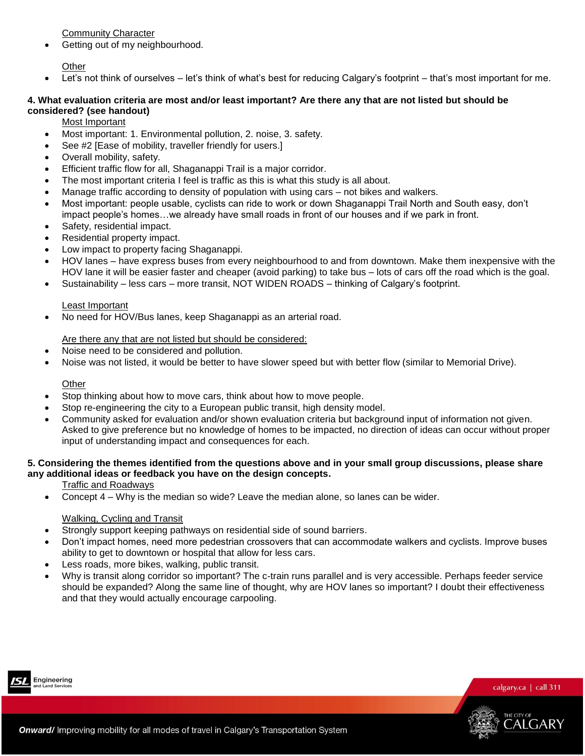Community Character

Getting out of my neighbourhood.

Other

Let's not think of ourselves – let's think of what's best for reducing Calgary's footprint – that's most important for me.

### **4. What evaluation criteria are most and/or least important? Are there any that are not listed but should be considered? (see handout)**

Most Important

- Most important: 1. Environmental pollution, 2. noise, 3. safety.
- See #2 [Ease of mobility, traveller friendly for users.]
- Overall mobility, safety.
- Efficient traffic flow for all, Shaganappi Trail is a major corridor.
- The most important criteria I feel is traffic as this is what this study is all about.
- Manage traffic according to density of population with using cars not bikes and walkers.
- Most important: people usable, cyclists can ride to work or down Shaganappi Trail North and South easy, don't impact people's homes...we already have small roads in front of our houses and if we park in front.
- Safety, residential impact.
- Residential property impact.
- Low impact to property facing Shaganappi.
- HOV lanes have express buses from every neighbourhood to and from downtown. Make them inexpensive with the HOV lane it will be easier faster and cheaper (avoid parking) to take bus – lots of cars off the road which is the goal.
- Sustainability less cars more transit, NOT WIDEN ROADS thinking of Calgary's footprint.

#### Least Important

No need for HOV/Bus lanes, keep Shaganappi as an arterial road.

### Are there any that are not listed but should be considered:

- Noise need to be considered and pollution.
- Noise was not listed, it would be better to have slower speed but with better flow (similar to Memorial Drive).

### **Other**

- Stop thinking about how to move cars, think about how to move people.
- Stop re-engineering the city to a European public transit, high density model.
- Community asked for evaluation and/or shown evaluation criteria but background input of information not given. Asked to give preference but no knowledge of homes to be impacted, no direction of ideas can occur without proper input of understanding impact and consequences for each.

# **5. Considering the themes identified from the questions above and in your small group discussions, please share any additional ideas or feedback you have on the design concepts.**

### Traffic and Roadways

Concept 4 – Why is the median so wide? Leave the median alone, so lanes can be wider.

# Walking, Cycling and Transit

- Strongly support keeping pathways on residential side of sound barriers.
- Don't impact homes, need more pedestrian crossovers that can accommodate walkers and cyclists. Improve buses ability to get to downtown or hospital that allow for less cars.
- Less roads, more bikes, walking, public transit.
- Why is transit along corridor so important? The c-train runs parallel and is very accessible. Perhaps feeder service should be expanded? Along the same line of thought, why are HOV lanes so important? I doubt their effectiveness and that they would actually encourage carpooling.



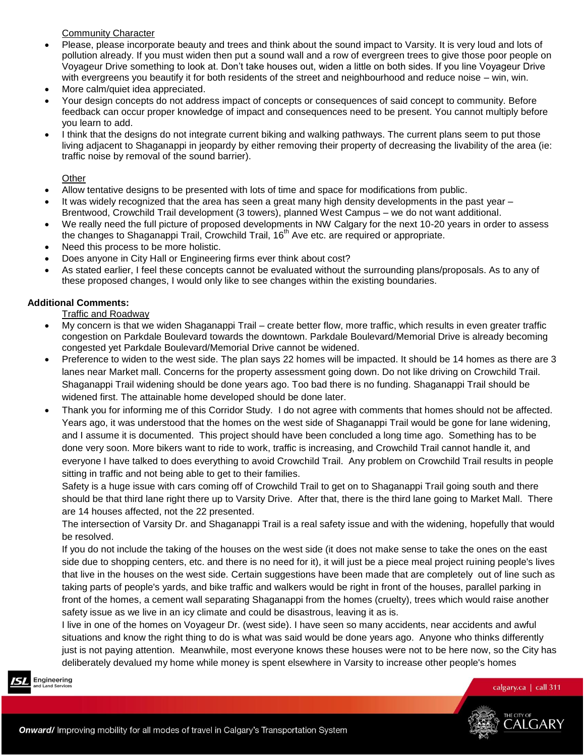Community Character

- Please, please incorporate beauty and trees and think about the sound impact to Varsity. It is very loud and lots of pollution already. If you must widen then put a sound wall and a row of evergreen trees to give those poor people on Voyageur Drive something to look at. Don't take houses out, widen a little on both sides. If you line Voyageur Drive with evergreens you beautify it for both residents of the street and neighbourhood and reduce noise – win, win.
- More calm/quiet idea appreciated.
- Your design concepts do not address impact of concepts or consequences of said concept to community. Before feedback can occur proper knowledge of impact and consequences need to be present. You cannot multiply before you learn to add.
- I think that the designs do not integrate current biking and walking pathways. The current plans seem to put those living adjacent to Shaganappi in jeopardy by either removing their property of decreasing the livability of the area (ie: traffic noise by removal of the sound barrier).

Other

- Allow tentative designs to be presented with lots of time and space for modifications from public.
- It was widely recognized that the area has seen a great many high density developments in the past year Brentwood, Crowchild Trail development (3 towers), planned West Campus – we do not want additional.
- We really need the full picture of proposed developments in NW Calgary for the next 10-20 years in order to assess the changes to Shaganappi Trail, Crowchild Trail,  $16<sup>th</sup>$  Ave etc. are required or appropriate.
- Need this process to be more holistic.
- Does anyone in City Hall or Engineering firms ever think about cost?
- As stated earlier, I feel these concepts cannot be evaluated without the surrounding plans/proposals. As to any of these proposed changes, I would only like to see changes within the existing boundaries.

# **Additional Comments:**

Traffic and Roadway

- My concern is that we widen Shaganappi Trail create better flow, more traffic, which results in even greater traffic congestion on Parkdale Boulevard towards the downtown. Parkdale Boulevard/Memorial Drive is already becoming congested yet Parkdale Boulevard/Memorial Drive cannot be widened.
- Preference to widen to the west side. The plan says 22 homes will be impacted. It should be 14 homes as there are 3 lanes near Market mall. Concerns for the property assessment going down. Do not like driving on Crowchild Trail. Shaganappi Trail widening should be done years ago. Too bad there is no funding. Shaganappi Trail should be widened first. The attainable home developed should be done later.
- Thank you for informing me of this Corridor Study. I do not agree with comments that homes should not be affected. Years ago, it was understood that the homes on the west side of Shaganappi Trail would be gone for lane widening, and I assume it is documented. This project should have been concluded a long time ago. Something has to be done very soon. More bikers want to ride to work, traffic is increasing, and Crowchild Trail cannot handle it, and everyone I have talked to does everything to avoid Crowchild Trail. Any problem on Crowchild Trail results in people sitting in traffic and not being able to get to their families.

Safety is a huge issue with cars coming off of Crowchild Trail to get on to Shaganappi Trail going south and there should be that third lane right there up to Varsity Drive. After that, there is the third lane going to Market Mall. There are 14 houses affected, not the 22 presented.

The intersection of Varsity Dr. and Shaganappi Trail is a real safety issue and with the widening, hopefully that would be resolved.

If you do not include the taking of the houses on the west side (it does not make sense to take the ones on the east side due to shopping centers, etc. and there is no need for it), it will just be a piece meal project ruining people's lives that live in the houses on the west side. Certain suggestions have been made that are completely out of line such as taking parts of people's yards, and bike traffic and walkers would be right in front of the houses, parallel parking in front of the homes, a cement wall separating Shaganappi from the homes (cruelty), trees which would raise another safety issue as we live in an icy climate and could be disastrous, leaving it as is.

I live in one of the homes on Voyageur Dr. (west side). I have seen so many accidents, near accidents and awful situations and know the right thing to do is what was said would be done years ago. Anyone who thinks differently just is not paying attention. Meanwhile, most everyone knows these houses were not to be here now, so the City has deliberately devalued my home while money is spent elsewhere in Varsity to increase other people's homes

Engineering